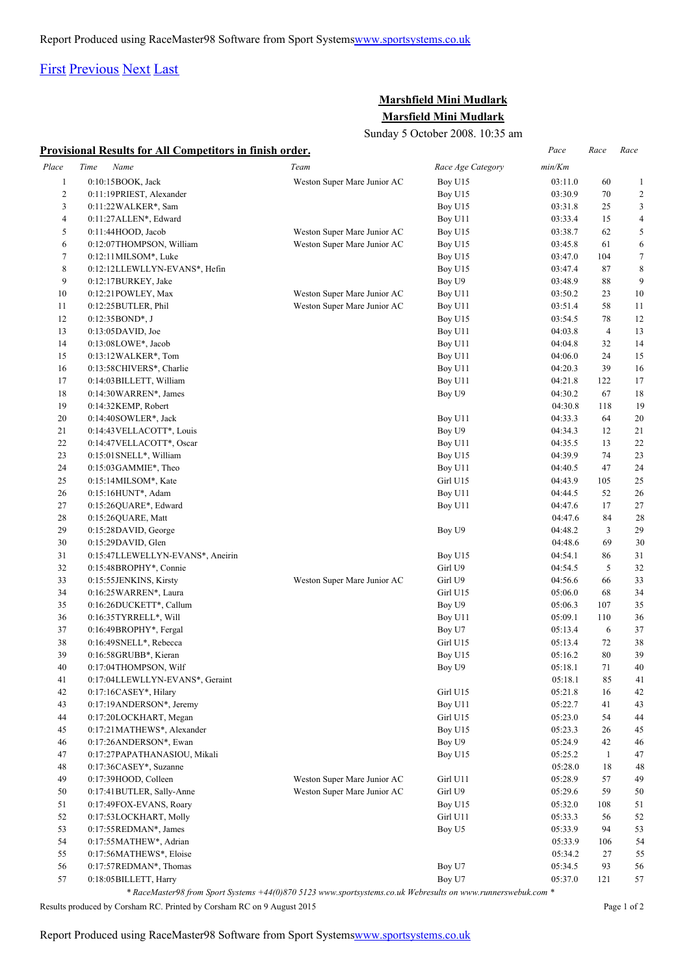## [First](http://www.corshamrunningclub.co.uk/Mudlark/Results/2008/Marshfield Mini Mudlark.html#) [Previous](http://www.corshamrunningclub.co.uk/Mudlark/Results/2008/Marshfield Mini Mudlark.html#) [Next](http://www.corshamrunningclub.co.uk/Mudlark/Results/2008/Marshfield Mini MudlarkPage2.html) [Last](http://www.corshamrunningclub.co.uk/Mudlark/Results/2008/Marshfield Mini MudlarkPage2.html)

## **Marshfield Mini Mudlark Marsfield Mini Mudlark**

Sunday 5 October 2008. 10:35 am

|  |  | <b>Provisional Results for All Competitors in finish order.</b> |  |  |
|--|--|-----------------------------------------------------------------|--|--|
|  |  |                                                                 |  |  |

|                | <b>Provisional Results for All Competitors in finish order.</b> |                                                                                                              |                   | Pace    | Race           | Race             |
|----------------|-----------------------------------------------------------------|--------------------------------------------------------------------------------------------------------------|-------------------|---------|----------------|------------------|
| Place          | Name<br>Time                                                    | Team                                                                                                         | Race Age Category | min/Km  |                |                  |
| $\mathbf{1}$   | 0:10:15BOOK, Jack                                               | Weston Super Mare Junior AC                                                                                  | Boy U15           | 03:11.0 | 60             | $\mathbf{1}$     |
| $\overline{c}$ | 0:11:19PRIEST, Alexander                                        |                                                                                                              | Boy U15           | 03:30.9 | 70             | $\overline{2}$   |
| 3              | 0:11:22 WALKER*, Sam                                            |                                                                                                              | Boy U15           | 03:31.8 | 25             | 3                |
| 4              | 0:11:27 ALLEN*, Edward                                          |                                                                                                              | Boy U11           | 03:33.4 | 15             | $\overline{4}$   |
| 5              | 0:11:44HOOD, Jacob                                              | Weston Super Mare Junior AC                                                                                  | Boy U15           | 03:38.7 | 62             | 5                |
| 6              | 0:12:07THOMPSON, William                                        | Weston Super Mare Junior AC                                                                                  | Boy U15           | 03:45.8 | 61             | 6                |
| 7              | $0:12:11$ MILSOM*, Luke                                         |                                                                                                              | Boy U15           | 03:47.0 | 104            | $\boldsymbol{7}$ |
| 8              | 0:12:12LLEWLLYN-EVANS*, Hefin                                   |                                                                                                              | Boy U15           | 03:47.4 | 87             | 8                |
| 9              | 0:12:17BURKEY, Jake                                             |                                                                                                              | Boy U9            | 03:48.9 | 88             | 9                |
| 10             | 0:12:21 POWLEY, Max                                             | Weston Super Mare Junior AC                                                                                  | Boy U11           | 03:50.2 | 23             | 10               |
| 11             | 0:12:25BUTLER, Phil                                             | Weston Super Mare Junior AC                                                                                  | Boy U11           | 03:51.4 | 58             | 11               |
| 12             | $0:12:35BOND^*, J$                                              |                                                                                                              | Boy U15           | 03:54.5 | 78             | 12               |
| 13             | $0:13:05$ DAVID, Joe                                            |                                                                                                              | Boy U11           | 04:03.8 | $\overline{4}$ | 13               |
| 14             | $0:13:08$ LOWE*, Jacob                                          |                                                                                                              | Boy U11           | 04:04.8 | 32             | 14               |
| 15             | $0:13:12 \text{WALKER}^*$ , Tom                                 |                                                                                                              | Boy U11           | 04:06.0 | 24             | 15               |
| 16             | 0:13:58CHIVERS*, Charlie                                        |                                                                                                              | Boy U11           | 04:20.3 | 39             | 16               |
| 17             | 0:14:03BILLETT, William                                         |                                                                                                              | Boy U11           | 04:21.8 | 122            | 17               |
| 18             | 0:14:30WARREN*, James                                           |                                                                                                              | Boy U9            | 04:30.2 | 67             | 18               |
| 19             | $0:14:32$ KEMP, Robert                                          |                                                                                                              |                   | 04:30.8 | 118            | 19               |
| 20             | 0:14:40SOWLER*, Jack                                            |                                                                                                              | Boy U11           | 04:33.3 | 64             | 20               |
| 21             | 0:14:43 VELLACOTT*, Louis                                       |                                                                                                              | Boy U9            | 04:34.3 | 12             | 21               |
| 22             | 0:14:47 VELLACOTT*, Oscar                                       |                                                                                                              | Boy U11           | 04:35.5 | 13             | 22               |
| 23             | 0:15:01 SNELL*, William                                         |                                                                                                              | Boy U15           | 04:39.9 | 74             | 23               |
| 24             | 0:15:03GAMMIE*, Theo                                            |                                                                                                              | Boy U11           | 04:40.5 | 47             | 24               |
| 25             | $0:15:14$ MILSOM*, Kate                                         |                                                                                                              | Girl U15          | 04:43.9 | 105            | 25               |
| 26             | 0:15:16HUNT*, Adam                                              |                                                                                                              | Boy U11           | 04:44.5 | 52             | 26               |
| 27             | 0:15:26QUARE*, Edward                                           |                                                                                                              | Boy U11           | 04:47.6 | 17             | 27               |
| 28             | 0:15:26QUARE, Matt                                              |                                                                                                              |                   | 04:47.6 | 84             | 28               |
| 29             | $0:15:28$ DAVID, George                                         |                                                                                                              | Boy U9            | 04:48.2 | 3              | 29               |
| 30             | $0:15:29$ DAVID, Glen                                           |                                                                                                              |                   | 04:48.6 | 69             | 30               |
| 31             | 0:15:47LLEWELLYN-EVANS*, Aneirin                                |                                                                                                              | Boy U15           | 04:54.1 | 86             | 31               |
| 32             | 0:15:48BROPHY*, Connie                                          |                                                                                                              | Girl U9           | 04:54.5 | 5              | 32               |
| 33             | 0:15:55JENKINS, Kirsty                                          | Weston Super Mare Junior AC                                                                                  | Girl U9           | 04:56.6 | 66             | 33               |
| 34             | 0:16:25 WARREN*, Laura                                          |                                                                                                              | Girl U15          | 05:06.0 | 68             | 34               |
| 35             | 0:16:26DUCKETT*, Callum                                         |                                                                                                              | Boy U9            | 05:06.3 | 107            | 35               |
| 36             | 0:16:35TYRRELL*, Will                                           |                                                                                                              | Boy U11           | 05:09.1 | 110            | 36               |
| 37             | $0:16:49BROPHY^*$ , Fergal                                      |                                                                                                              | Boy U7            | 05:13.4 | 6              | 37               |
| 38             | 0:16:49SNELL*, Rebecca                                          |                                                                                                              | Girl U15          | 05:13.4 | 72             | 38               |
| 39             | 0:16:58GRUBB*, Kieran                                           |                                                                                                              | Boy U15           | 05:16.2 | 80             | 39               |
| $40\,$         | 0:17:04THOMPSON, Wilf                                           |                                                                                                              | Boy U9            | 05:18.1 | $71\,$         | 40               |
| 41             | 0:17:04LLEWLLYN-EVANS*, Geraint                                 |                                                                                                              |                   | 05:18.1 | 85             | 41               |
| 42             | 0:17:16CASEY*, Hilary                                           |                                                                                                              | Girl U15          | 05:21.8 | 16             | 42               |
| 43             | 0:17:19ANDERSON*, Jeremy                                        |                                                                                                              | Boy U11           | 05:22.7 | 41             | 43               |
| 44             | 0:17:20LOCKHART, Megan                                          |                                                                                                              | Girl U15          | 05:23.0 | 54             | 44               |
| 45             | 0:17:21MATHEWS*, Alexander                                      |                                                                                                              | Boy U15           | 05:23.3 | 26             | 45               |
| 46             | 0:17:26ANDERSON*, Ewan                                          |                                                                                                              | Boy U9            | 05:24.9 | 42             | 46               |
| 47             | 0:17:27PAPATHANASIOU, Mikali                                    |                                                                                                              | Boy U15           | 05:25.2 | $\mathbf{1}$   | 47               |
| 48             | 0:17:36CASEY*, Suzanne                                          |                                                                                                              |                   | 05:28.0 | 18             | 48               |
| 49             | 0:17:39HOOD, Colleen                                            | Weston Super Mare Junior AC                                                                                  | Girl U11          | 05:28.9 | 57             | 49               |
| 50             | 0:17:41BUTLER, Sally-Anne                                       | Weston Super Mare Junior AC                                                                                  | Girl U9           | 05:29.6 | 59             | 50               |
| 51             | 0:17:49FOX-EVANS, Roary                                         |                                                                                                              | Boy U15           | 05:32.0 | 108            | 51               |
| 52             | 0:17:53LOCKHART, Molly                                          |                                                                                                              | Girl U11          | 05:33.3 | 56             | 52               |
| 53             | $0:17:55$ REDMAN*, James                                        |                                                                                                              | Boy U5            | 05:33.9 | 94             | 53               |
| 54             | 0:17:55MATHEW*, Adrian                                          |                                                                                                              |                   | 05:33.9 | 106            | 54               |
| 55             | 0:17:56MATHEWS*, Eloise                                         |                                                                                                              |                   | 05:34.2 | 27             | 55               |
| 56             | 0:17:57REDMAN*, Thomas                                          |                                                                                                              | Boy U7            | 05:34.5 | 93             | 56               |
| 57             | 0:18:05 BILLETT, Harry                                          |                                                                                                              | Boy U7            | 05:37.0 | 121            | 57               |
|                |                                                                 | * RaceMaster98 from Sport Systems +44(0)870 5123 www.sportsystems.co.uk Webresults on www.runnerswebuk.com * |                   |         |                |                  |

Results produced by Corsham RC. Printed by Corsham RC on 9 August 2015 Page 1 of 2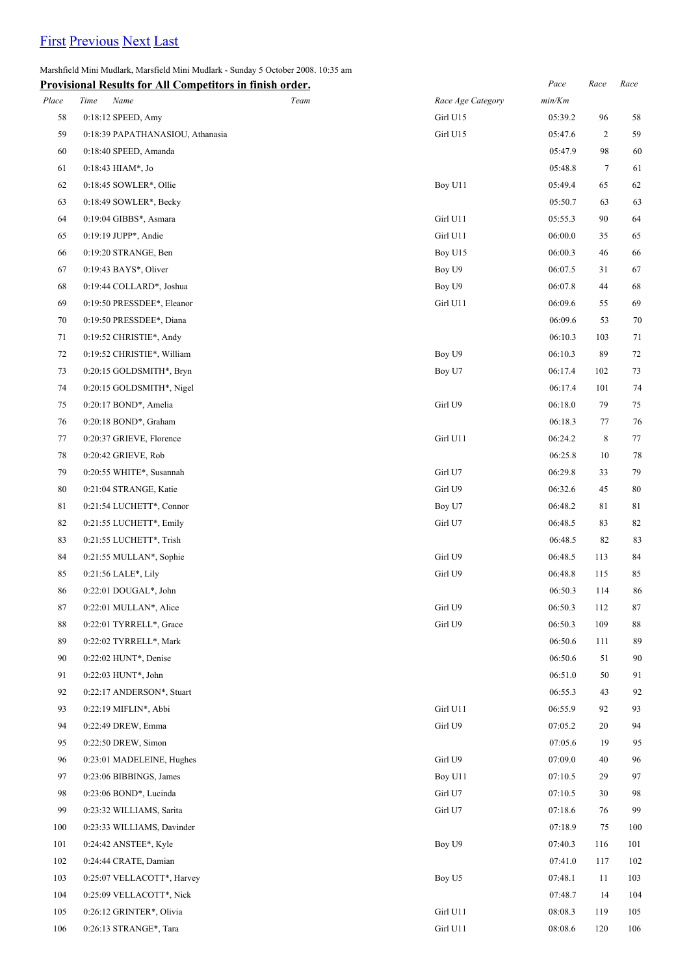## [First](http://www.corshamrunningclub.co.uk/Mudlark/Results/2008/Marshfield Mini Mudlark.html) [Previous](http://www.corshamrunningclub.co.uk/Mudlark/Results/2008/Marshfield Mini Mudlark.html) [Next](http://www.corshamrunningclub.co.uk/Mudlark/Results/2008/Marshfield Mini MudlarkPage2.html#) [Last](http://www.corshamrunningclub.co.uk/Mudlark/Results/2008/Marshfield Mini MudlarkPage2.html#)

Marshfield Mini Mudlark, Marsfield Mini Mudlark - Sunday 5 October 2008. 10:35 am

|       | <b>Provisional Results for All Competitors in finish order.</b> |      |                   | Pace    | Race           | Race   |
|-------|-----------------------------------------------------------------|------|-------------------|---------|----------------|--------|
| Place | Time<br>Name                                                    | Team | Race Age Category | min/Km  |                |        |
| 58    | 0:18:12 SPEED, Amy                                              |      | Girl U15          | 05:39.2 | 96             | 58     |
| 59    | 0:18:39 PAPATHANASIOU, Athanasia                                |      | Girl U15          | 05:47.6 | $\overline{c}$ | 59     |
| 60    | 0:18:40 SPEED, Amanda                                           |      |                   | 05:47.9 | 98             | 60     |
| 61    | 0:18:43 HIAM*, Jo                                               |      |                   | 05:48.8 | $\tau$         | 61     |
| 62    | 0:18:45 SOWLER*, Ollie                                          |      | Boy U11           | 05:49.4 | 65             | 62     |
| 63    | $0:18:49$ SOWLER*, Becky                                        |      |                   | 05:50.7 | 63             | 63     |
| 64    | 0:19:04 GIBBS*, Asmara                                          |      | Girl U11          | 05:55.3 | 90             | 64     |
| 65    | 0:19:19 JUPP*, Andie                                            |      | Girl U11          | 06:00.0 | 35             | 65     |
| 66    | 0:19:20 STRANGE, Ben                                            |      | Boy U15           | 06:00.3 | 46             | 66     |
| 67    | 0:19:43 BAYS*, Oliver                                           |      | Boy U9            | 06:07.5 | 31             | 67     |
| 68    | 0:19:44 COLLARD*, Joshua                                        |      | Boy U9            | 06:07.8 | 44             | 68     |
| 69    | 0:19:50 PRESSDEE*, Eleanor                                      |      | Girl U11          | 06:09.6 | 55             | 69     |
| 70    | 0:19:50 PRESSDEE*, Diana                                        |      |                   | 06:09.6 | 53             | 70     |
| 71    | 0:19:52 CHRISTIE*, Andy                                         |      |                   | 06:10.3 | 103            | 71     |
| 72    | 0:19:52 CHRISTIE*, William                                      |      | Boy U9            | 06:10.3 | 89             | 72     |
| 73    | 0:20:15 GOLDSMITH*, Bryn                                        |      | Boy U7            | 06:17.4 | 102            | 73     |
| 74    | 0:20:15 GOLDSMITH*, Nigel                                       |      |                   | 06:17.4 | 101            | 74     |
| 75    | 0:20:17 BOND*, Amelia                                           |      | Girl U9           | 06:18.0 | 79             | $75\,$ |
| 76    | 0:20:18 BOND*, Graham                                           |      |                   | 06:18.3 | 77             | 76     |
| 77    | 0:20:37 GRIEVE, Florence                                        |      | Girl U11          | 06:24.2 | 8              | $77\,$ |
| 78    | 0:20:42 GRIEVE, Rob                                             |      |                   | 06:25.8 | 10             | 78     |
| 79    | 0:20:55 WHITE*, Susannah                                        |      | Girl U7           | 06:29.8 | 33             | 79     |
| 80    | 0:21:04 STRANGE, Katie                                          |      | Girl U9           | 06:32.6 | 45             | $80\,$ |
| 81    | 0:21:54 LUCHETT*, Connor                                        |      | Boy U7            | 06:48.2 | 81             | 81     |
| 82    | 0:21:55 LUCHETT*, Emily                                         |      | Girl U7           | 06:48.5 | 83             | 82     |
| 83    | 0:21:55 LUCHETT*, Trish                                         |      |                   | 06:48.5 | 82             | 83     |
| 84    | 0:21:55 MULLAN*, Sophie                                         |      | Girl U9           | 06:48.5 | 113            | 84     |
| 85    | 0:21:56 LALE*, Lily                                             |      | Girl U9           | 06:48.8 | 115            | 85     |
| 86    | 0:22:01 DOUGAL*, John                                           |      |                   | 06:50.3 | 114            | 86     |
| 87    | 0:22:01 MULLAN*, Alice                                          |      | Girl U9           | 06:50.3 | 112            | 87     |
| 88    | 0:22:01 TYRRELL*, Grace                                         |      | Girl U9           | 06:50.3 | 109            | 88     |
| 89    | 0:22:02 TYRRELL*, Mark                                          |      |                   | 06:50.6 | 111            | 89     |
| 90    | 0:22:02 HUNT*, Denise                                           |      |                   | 06:50.6 | 51             | 90     |
| 91    | 0:22:03 HUNT*, John                                             |      |                   | 06:51.0 | 50             | 91     |
| 92    | 0:22:17 ANDERSON*, Stuart                                       |      |                   | 06:55.3 | 43             | 92     |
| 93    | $0:22:19$ MIFLIN*, Abbi                                         |      | Girl U11          | 06:55.9 | 92             | 93     |
| 94    | 0:22:49 DREW, Emma                                              |      | Girl U9           | 07:05.2 | 20             | 94     |
| 95    | 0:22:50 DREW, Simon                                             |      |                   | 07:05.6 | 19             | 95     |
| 96    | 0:23:01 MADELEINE, Hughes                                       |      | Girl U9           | 07:09.0 | 40             | 96     |
| 97    | 0:23:06 BIBBINGS, James                                         |      | Boy U11           | 07:10.5 | 29             | 97     |
| 98    | 0:23:06 BOND*, Lucinda                                          |      | Girl U7           | 07:10.5 | 30             | 98     |
| 99    | 0:23:32 WILLIAMS, Sarita                                        |      | Girl U7           | 07:18.6 | 76             | 99     |
| 100   | 0:23:33 WILLIAMS, Davinder                                      |      |                   | 07:18.9 | 75             | 100    |
| 101   | 0:24:42 ANSTEE*, Kyle                                           |      | Boy U9            | 07:40.3 | 116            | 101    |
| 102   | 0:24:44 CRATE, Damian                                           |      |                   | 07:41.0 | 117            | 102    |
| 103   | 0:25:07 VELLACOTT*, Harvey                                      |      | Boy U5            | 07:48.1 | 11             | 103    |
| 104   | 0:25:09 VELLACOTT*, Nick                                        |      |                   | 07:48.7 | 14             | 104    |
| 105   | 0:26:12 GRINTER*, Olivia                                        |      | Girl U11          | 08:08.3 | 119            | 105    |
| 106   | 0:26:13 STRANGE*, Tara                                          |      | Girl U11          | 08:08.6 | 120            | 106    |